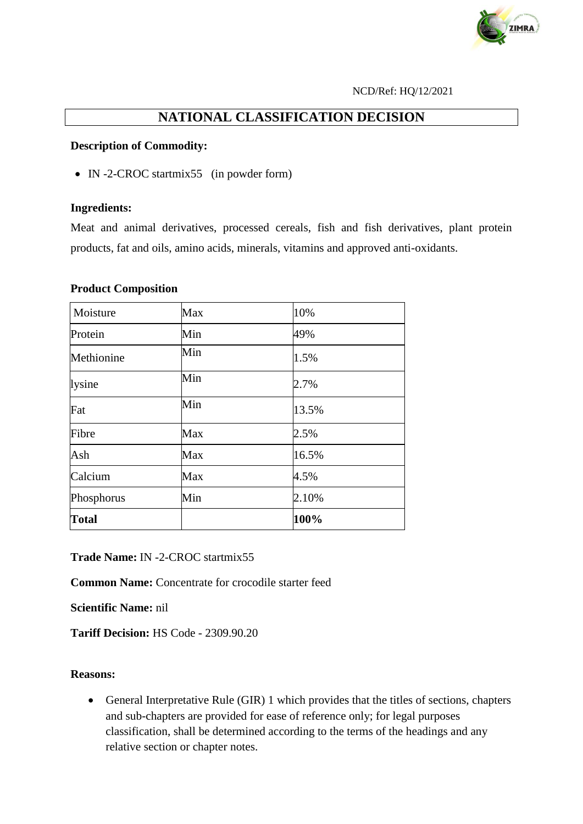

#### NCD/Ref: HQ/12/2021

# **NATIONAL CLASSIFICATION DECISION**

#### **Description of Commodity:**

• IN -2-CROC startmix55 (in powder form)

#### **Ingredients:**

Meat and animal derivatives, processed cereals, fish and fish derivatives, plant protein products, fat and oils, amino acids, minerals, vitamins and approved anti-oxidants.

#### **Product Composition**

| Moisture     | Max | 10%   |
|--------------|-----|-------|
| Protein      | Min | 49%   |
| Methionine   | Min | 1.5%  |
| lysine       | Min | 2.7%  |
| Fat          | Min | 13.5% |
| Fibre        | Max | 2.5%  |
| Ash          | Max | 16.5% |
| Calcium      | Max | 4.5%  |
| Phosphorus   | Min | 2.10% |
| <b>Total</b> |     | 100%  |

**Trade Name:** IN -2-CROC startmix55

**Common Name:** Concentrate for crocodile starter feed

**Scientific Name:** nil

**Tariff Decision:** HS Code - 2309.90.20

### **Reasons:**

 General Interpretative Rule (GIR) 1 which provides that the titles of sections, chapters and sub-chapters are provided for ease of reference only; for legal purposes classification, shall be determined according to the terms of the headings and any relative section or chapter notes.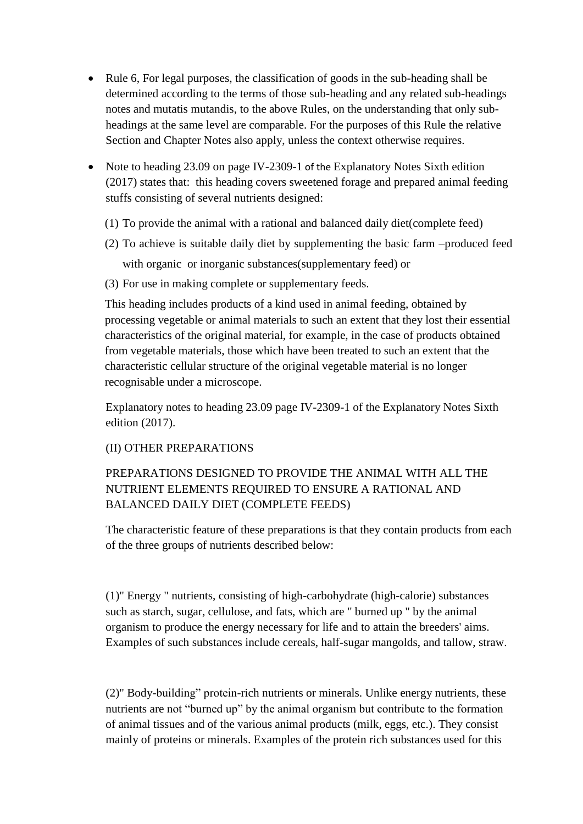- Rule 6, For legal purposes, the classification of goods in the sub-heading shall be determined according to the terms of those sub-heading and any related sub-headings notes and mutatis mutandis, to the above Rules, on the understanding that only subheadings at the same level are comparable. For the purposes of this Rule the relative Section and Chapter Notes also apply, unless the context otherwise requires.
- Note to heading 23.09 on page IV-2309-1 of the Explanatory Notes Sixth edition (2017) states that: this heading covers sweetened forage and prepared animal feeding stuffs consisting of several nutrients designed:
	- (1) To provide the animal with a rational and balanced daily diet(complete feed)
	- (2) To achieve is suitable daily diet by supplementing the basic farm –produced feed with organic or inorganic substances(supplementary feed) or
	- (3) For use in making complete or supplementary feeds.

This heading includes products of a kind used in animal feeding, obtained by processing vegetable or animal materials to such an extent that they lost their essential characteristics of the original material, for example, in the case of products obtained from vegetable materials, those which have been treated to such an extent that the characteristic cellular structure of the original vegetable material is no longer recognisable under a microscope.

Explanatory notes to heading 23.09 page IV-2309-1 of the Explanatory Notes Sixth edition (2017).

### (II) OTHER PREPARATIONS

# PREPARATIONS DESIGNED TO PROVIDE THE ANIMAL WITH ALL THE NUTRIENT ELEMENTS REQUIRED TO ENSURE A RATIONAL AND BALANCED DAILY DIET (COMPLETE FEEDS)

The characteristic feature of these preparations is that they contain products from each of the three groups of nutrients described below:

(1)" Energy " nutrients, consisting of high-carbohydrate (high-calorie) substances such as starch, sugar, cellulose, and fats, which are " burned up " by the animal organism to produce the energy necessary for life and to attain the breeders' aims. Examples of such substances include cereals, half-sugar mangolds, and tallow, straw.

(2)" Body-building" protein-rich nutrients or minerals. Unlike energy nutrients, these nutrients are not "burned up" by the animal organism but contribute to the formation of animal tissues and of the various animal products (milk, eggs, etc.). They consist mainly of proteins or minerals. Examples of the protein rich substances used for this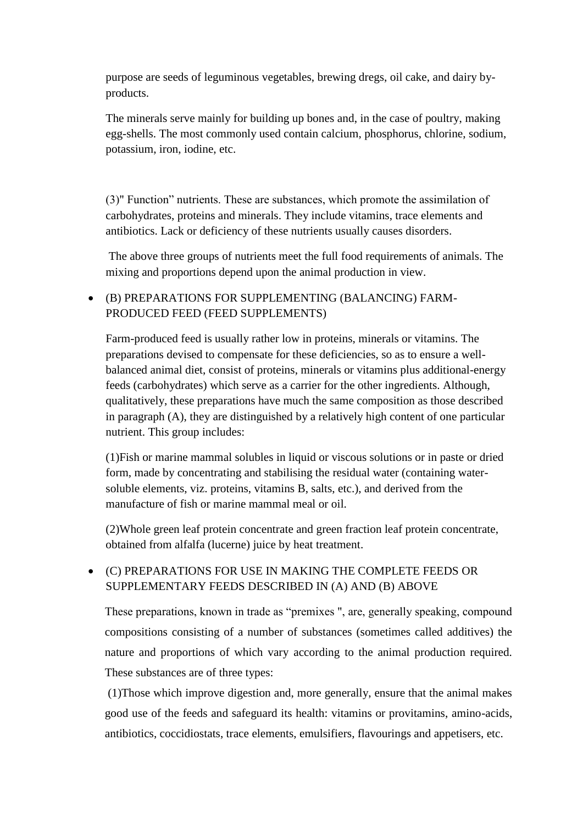purpose are seeds of leguminous vegetables, brewing dregs, oil cake, and dairy byproducts.

The minerals serve mainly for building up bones and, in the case of poultry, making egg-shells. The most commonly used contain calcium, phosphorus, chlorine, sodium, potassium, iron, iodine, etc.

(3)" Function" nutrients. These are substances, which promote the assimilation of carbohydrates, proteins and minerals. They include vitamins, trace elements and antibiotics. Lack or deficiency of these nutrients usually causes disorders.

The above three groups of nutrients meet the full food requirements of animals. The mixing and proportions depend upon the animal production in view.

### (B) PREPARATIONS FOR SUPPLEMENTING (BALANCING) FARM-PRODUCED FEED (FEED SUPPLEMENTS)

Farm-produced feed is usually rather low in proteins, minerals or vitamins. The preparations devised to compensate for these deficiencies, so as to ensure a wellbalanced animal diet, consist of proteins, minerals or vitamins plus additional-energy feeds (carbohydrates) which serve as a carrier for the other ingredients. Although, qualitatively, these preparations have much the same composition as those described in paragraph (A), they are distinguished by a relatively high content of one particular nutrient. This group includes:

(1)Fish or marine mammal solubles in liquid or viscous solutions or in paste or dried form, made by concentrating and stabilising the residual water (containing watersoluble elements, viz. proteins, vitamins B, salts, etc.), and derived from the manufacture of fish or marine mammal meal or oil.

(2)Whole green leaf protein concentrate and green fraction leaf protein concentrate, obtained from alfalfa (lucerne) juice by heat treatment.

# (C) PREPARATIONS FOR USE IN MAKING THE COMPLETE FEEDS OR SUPPLEMENTARY FEEDS DESCRIBED IN (A) AND (B) ABOVE

These preparations, known in trade as "premixes ", are, generally speaking, compound compositions consisting of a number of substances (sometimes called additives) the nature and proportions of which vary according to the animal production required. These substances are of three types:

(1)Those which improve digestion and, more generally, ensure that the animal makes good use of the feeds and safeguard its health: vitamins or provitamins, amino-acids, antibiotics, coccidiostats, trace elements, emulsifiers, flavourings and appetisers, etc.